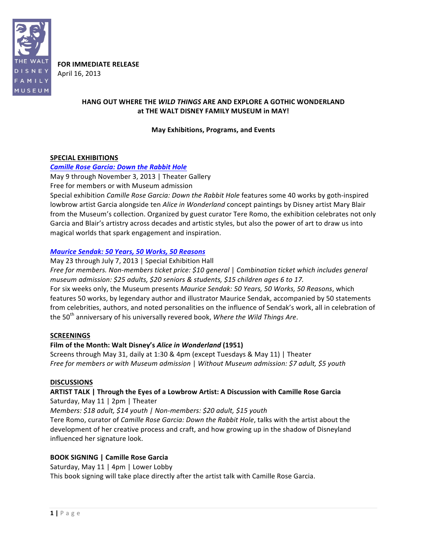

**FOR IMMEDIATE RELEASE** April 16, 2013

## **HANG OUT WHERE THE WILD THINGS ARE AND EXPLORE A GOTHIC WONDERLAND** at THE WALT DISNEY FAMILY MUSEUM in MAY!

#### **May Exhibitions, Programs, and"Events**

#### SPECIAL EXHIBITIONS

#### *Camille Rose Garcia: Down the Rabbit Hole*

May 9 through November 3, 2013 | Theater Gallery

Free for members or with Museum admission

Special exhibition *Camille Rose Garcia: Down the Rabbit Hole* features some 40 works by goth-inspired lowbrow artist Garcia alongside ten *Alice in Wonderland* concept paintings by Disney artist Mary Blair from the Museum's collection. Organized by guest curator Tere Romo, the exhibition celebrates not only Garcia and Blair's artistry across decades and artistic styles, but also the power of art to draw us into magical worlds that spark engagement and inspiration.

#### *Maurice%Sendak:%50%Years,%50%Works,%50%Reasons*

May 23 through July 7, 2013 | Special Exhibition Hall

*Free'for'members.'Non=members'ticket'price:'\$10'general'*| *Combination'ticket'which'includes'general' museum'admission:'\$25'adults, \$20'seniors'& students, \$15'children'ages'6'to'17.*

For six weeks only, the Museum presents Maurice Sendak: 50 Years, 50 Works, 50 Reasons, which features 50 works, by legendary author and illustrator Maurice Sendak, accompanied by 50 statements from celebrities, authors, and noted personalities on the influence of Sendak's work, all in celebration of the 50<sup>th</sup> anniversary of his universally revered book, Where the Wild Things Are.

## **SCREENINGS"**

## Film of the Month: Walt Disney's Alice in Wonderland (1951)

Screens through May 31, daily at 1:30 & 4pm (except Tuesdays & May 11) | Theater *Free for'members'or with'Museum'admission'*| *Without'Museum'admission:'\$7'adult, \$5'youth*

#### **DISCUSSIONS**

## ARTIST TALK | Through the Eyes of a Lowbrow Artist: A Discussion with Camille Rose Garcia Saturday, May  $11$  | 2pm | Theater

*Members:'\$18'adult, \$14'youth |'Non=members:'\$20'adult, \$15 youth*

Tere Romo, curator of *Camille Rose Garcia: Down the Rabbit Hole*, talks with the artist about the development of her creative process and craft, and how growing up in the shadow of Disneyland influenced her signature look.

## **BOOK SIGNING | Camille Rose Garcia**

Saturday, May 11 | 4pm | Lower Lobby

This book signing will take place directly after the artist talk with Camille Rose Garcia.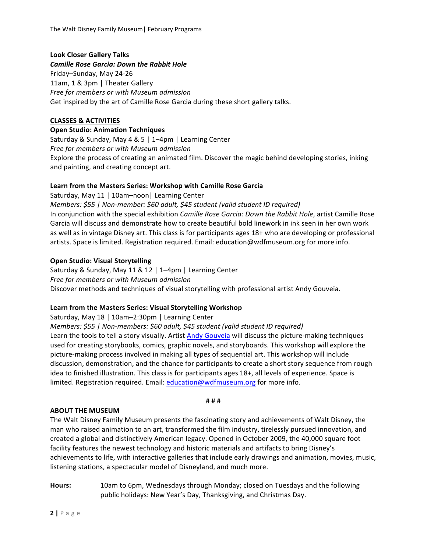## **Look"Closer Gallery"Talks**

*Camille Rose Garcia: Down the Rabbit Hole* Friday-Sunday, May 24-26 11am, 1 & 3pm | Theater Gallery *Free for'members'or with Museum'admission* Get inspired by the art of Camille Rose Garcia during these short gallery talks.

## **CLASSES"& ACTIVITIES**

## **Open Studio: Animation Techniques**

Saturday & Sunday, May 4 & 5 | 1–4pm | Learning Center *Free'for'members'or'with'Museum'admission* Explore the process of creating an animated film. Discover the magic behind developing stories, inking and painting, and creating concept art.

## Learn from the Masters Series: Workshop with Camille Rose Garcia

Saturday, May 11 | 10am-noon | Learning Center *Members:'\$55 |'Non=member:'\$60'adult,'\$45'student'(valid'student'ID'required)* In conjunction with the special exhibition *Camille Rose Garcia: Down the Rabbit Hole*, artist Camille Rose Garcia will discuss and demonstrate how to create beautiful bold linework in ink seen in her own work as well as in vintage Disney art. This class is for participants ages 18+ who are developing or professional artists. Space is limited. Registration required. Email: education@wdfmuseum.org for more info.

## **Open Studio: Visual Storytelling**

Saturday & Sunday, May 11 & 12 | 1–4pm | Learning Center *Free'for'members'or'with'Museum'admission* Discover methods and techniques of visual storytelling with professional artist Andy Gouveia.

## Learn from the Masters Series: Visual Storytelling Workshop

Saturday, May 18 | 10am–2:30pm | Learning Center *Members:'\$55'|'Non=members:'\$60'adult, \$45 student'(valid'student'ID'required)* Learn the tools to tell a story visually. Artist Andy Gouveia will discuss the picture-making techniques used for creating storybooks, comics, graphic novels, and storyboards. This workshop will explore the picture-making process involved in making all types of sequential art. This workshop will include discussion, demonstration, and the chance for participants to create a short story sequence from rough idea to finished illustration. This class is for participants ages 18+, all levels of experience. Space is limited. Registration required. Email: education@wdfmuseum.org for more info.

## **ABOUT THE MUSEUM**

The Walt Disney Family Museum presents the fascinating story and achievements of Walt Disney, the man who raised animation to an art, transformed the film industry, tirelessly pursued innovation, and created a global and distinctively American legacy. Opened in October 2009, the 40,000 square foot facility features the newest technology and historic materials and artifacts to bring Disney's achievements to life, with interactive galleries that include early drawings and animation, movies, music, listening stations, a spectacular model of Disneyland, and much more.

Hours: 10am to 6pm, Wednesdays through Monday; closed on Tuesdays and the following public holidays: New Year's Day, Thanksgiving, and Christmas Day.

# **#"#"#**